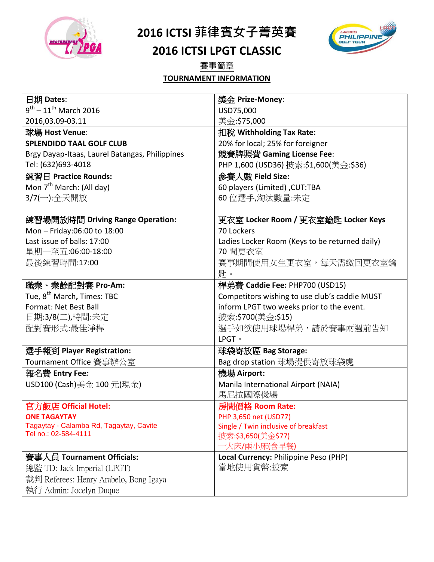

**2016 ICTSI** 菲律賓女子菁英賽

## **2016 ICTSI LPGT CLASSIC**

賽事簡章

LADIES<br>PHILIPPINE

#### **TOURNAMENT INFORMATION**

| 日期 Dates:                                      | 獎金 Prize-Money:                                |
|------------------------------------------------|------------------------------------------------|
| $9^{th}$ – 11 <sup>th</sup> March 2016         | USD75,000                                      |
| 2016,03.09-03.11                               | 美金:\$75,000                                    |
| 球場 Host Venue:                                 | 扣稅 Withholding Tax Rate:                       |
| <b>SPLENDIDO TAAL GOLF CLUB</b>                | 20% for local; 25% for foreigner               |
| Brgy Dayap-Itaas, Laurel Batangas, Philippines | 競賽牌照費 Gaming License Fee:                      |
| Tel: (632)693-4018                             | PHP 1,600 (USD36) 披索:\$1,600(美金:\$36)          |
| 練習日 Practice Rounds:                           | 參賽人數 Field Size:                               |
| Mon 7 <sup>th</sup> March: (All day)           | 60 players (Limited) , CUT:TBA                 |
| 3/7(一):全天開放                                    | 60位選手,淘汰數量:未定                                  |
|                                                |                                                |
| 練習場開放時間 Driving Range Operation:               | 更衣室 Locker Room / 更衣室鑰匙 Locker Keys            |
| Mon - Friday:06:00 to 18:00                    | 70 Lockers                                     |
| Last issue of balls: 17:00                     | Ladies Locker Room (Keys to be returned daily) |
| 星期一至五:06:00-18:00                              | 70 間更衣室                                        |
| 最後練習時間:17:00                                   | 賽事期間使用女生更衣室,每天需繳回更衣室鑰                          |
|                                                | 匙。                                             |
| 職業、業餘配對賽 Pro-Am:                               | 桿弟費 Caddie Fee: PHP700 (USD15)                 |
| Tue, 8 <sup>th</sup> March, Times: TBC         | Competitors wishing to use club's caddie MUST  |
| Format: Net Best Ball                          | inform LPGT two weeks prior to the event.      |
| 日期:3/8(二),時間:未定                                | 披索:\$700(美金:\$15)                              |
| 配對賽形式:最佳淨桿                                     | 選手如欲使用球場桿弟,請於賽事兩週前告知                           |
|                                                | LPGT 。                                         |
| 選手報到 Player Registration:                      | 球袋寄放區 Bag Storage:                             |
| Tournament Office 賽事辦公室                        | Bag drop station 球場提供寄放球袋處                     |
| 報名費 Entry Fee <i>:</i>                         | 機場 Airport:                                    |
| USD100 (Cash)美金 100 元(現金)                      | Manila International Airport (NAIA)            |
|                                                | 馬尼拉國際機場                                        |
| 官方飯店 Official Hotel:                           | 房間價格 Room Rate:                                |
| <b>ONE TAGAYTAY</b>                            | PHP 3,650 net (USD77)                          |
| Tagaytay - Calamba Rd, Tagaytay, Cavite        | Single / Twin inclusive of breakfast           |
| Tel no.: 02-584-4111                           | 披索:\$3,650(美金\$77)                             |
|                                                | 一大床/兩小床(含早餐)                                   |
| 賽事人員 Tournament Officials:                     | Local Currency: Philippine Peso (PHP)          |
| 總監 TD: Jack Imperial (LPGT)                    | 當地使用貨幣:披索                                      |
| 裁判 Referees: Henry Arabelo, Bong Igaya         |                                                |
| 執行 Admin: Jocelyn Duque                        |                                                |